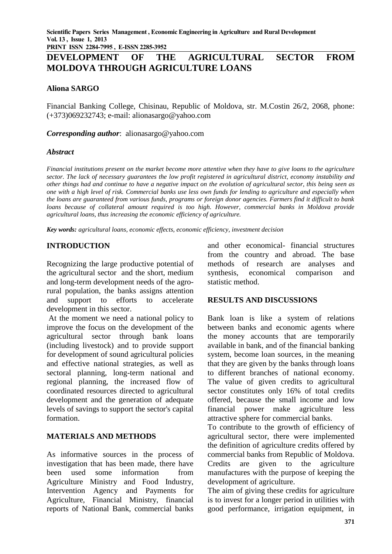# **DEVELOPMENT OF THE AGRICULTURAL SECTOR FROM MOLDOVA THROUGH AGRICULTURE LOANS**

### **Aliona SARGO**

Financial Banking College, Chisinau, Republic of Moldova, str. M.Costin 26/2, 2068, phone: (+373)069232743; e-mail: [alionasargo@yahoo.com](mailto:alionasargo@yahoo.com)

*Corresponding author*: [alionasargo@yahoo.com](mailto:alionasargo@yahoo.com)

#### *Abstract*

*Financial institutions present on the market become more attentive when they have to give loans to the agriculture sector. The lack of necessary guarantees the low profit registered in agricultural district, economy instability and other things had and continue to have a negative impact on the evolution of agricultural sector, this being seen as one with a high level of risk. Commercial banks use less own funds for lending to agriculture and especially when the loans are guaranteed from various funds, programs or foreign donor agencies. Farmers find it difficult to bank loans because of collateral amount required is too high. However, commercial banks in Moldova provide agricultural loans, thus increasing the economic efficiency of agriculture.*

*Key words: agricultural loans, economic effects, economic efficiency, investment decision*

#### **INTRODUCTION**

Recognizing the large productive potential of the agricultural sector and the short, medium and long-term development needs of the agrorural population, the banks assigns attention and support to efforts to accelerate development in this sector.

At the moment we need a national policy to improve the focus on the development of the agricultural sector through bank loans (including livestock) and to provide support for development of sound agricultural policies and effective national strategies, as well as sectoral planning, long-term national and regional planning, the increased flow of coordinated resources directed to agricultural development and the generation of adequate levels of savings to support the sector's capital formation.

# **MATERIALS AND METHODS**

As informative sources in the process of investigation that has been made, there have been used some information from Agriculture Ministry and Food Industry, Intervention Agency and Payments for Agriculture, Financial Ministry, financial reports of National Bank, commercial banks and other economical- financial structures from the country and abroad. The base methods of research are analyses and synthesis, economical comparison and statistic method.

#### **RESULTS AND DISCUSSIONS**

Bank loan is like a system of relations between banks and economic agents where the money accounts that are temporarily available in bank, and of the financial banking system, become loan sources, in the meaning that they are given by the banks through loans to different branches of national economy. The value of given credits to agricultural sector constitutes only 16% of total credits offered, because the small income and low financial power make agriculture less attractive sphere for commercial banks.

To contribute to the growth of efficiency of agricultural sector, there were implemented the definition of agriculture credits offered by commercial banks from Republic of Moldova. Credits are given to the agriculture manufactures with the purpose of keeping the development of agriculture.

The aim of giving these credits for agriculture is to invest for a longer period in utilities with good performance, irrigation equipment, in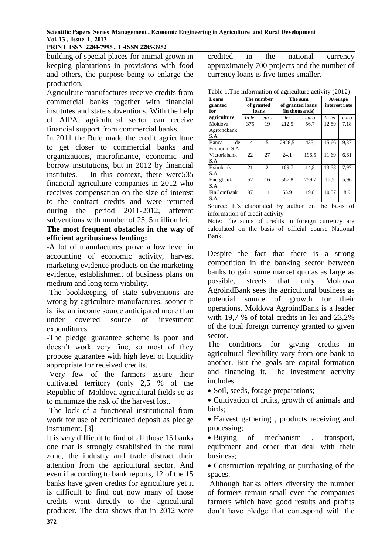#### **Scientific Papers Series Management , Economic Engineering in Agriculture and Rural Development Vol. 13 , Issue 1, 2013**

**PRINT ISSN 2284-7995 , E-ISSN 2285-3952** 

building of special places for animal grown in keeping plantations in provisions with food and others, the purpose being to enlarge the production.

Agriculture manufactures receive credits from commercial banks together with financial institutes and state subventions. With the help of AIPA, agricultural sector can receive financial support from commercial banks.

In 2011 the Rule made the credit agriculture to get closer to commercial banks and organizations, microfinance, economic and borrow institutions, but in 2012 by financial institutes. In this context, there were535 financial agriculture companies in 2012 who receives compensation on the size of interest to the contract credits and were returned during the period 2011-2012, afferent subventions with number of 25, 5 million lei.

#### **The most frequent obstacles in the way of efficient agribusiness lending:**

-A lot of manufactures prove a low level in accounting of economic activity, harvest marketing evidence products on the marketing evidence, establishment of business plans on medium and long term viability.

-The bookkeeping of state subventions are wrong by agriculture manufactures, sooner it is like an income source anticipated more than under covered source of investment expenditures.

-The pledge guarantee scheme is poor and doesn't work very fine, so most of they propose guarantee with high level of liquidity appropriate for received credits.

-Very few of the farmers assure their cultivated territory (only 2,5 % of the Republic of Moldova agricultural fields so as to minimize the risk of the harvest lost.

-The lock of a functional institutional from work for use of certificated deposit as pledge instrument. [3]

It is very difficult to find of all those 15 banks one that is strongly established in the rural zone, the industry and trade distract their attention from the agricultural sector. And even if according to bank reports, 12 of the 15 banks have given credits for agriculture yet it is difficult to find out now many of those credits went directly to the agricultural producer. The data shows that in 2012 were credited in the national currency approximately 700 projects and the number of currency loans is five times smaller.

Table 1.The information of agriculture activity (2012)

| Loans<br>granted<br>for       | The number<br>of granted<br>loans |                | -0<br>The sum<br>of granted loans<br>(in thousands) |        | Average<br>interest rate |      |
|-------------------------------|-----------------------------------|----------------|-----------------------------------------------------|--------|--------------------------|------|
| agriculture                   | In lei                            | euro           | lei                                                 | euro   | In lei                   | euro |
| Moldova<br>Agroindbank<br>S.A | 375                               | 19             | 212,5                                               | 56,7   | 12,89                    | 7.18 |
| de<br>Banca<br>Economii S.A   | 14                                | 5              | 2928.5                                              | 1435.1 | 15.66                    | 9.37 |
| Victoriabank<br>S.A           | 22                                | 27             | 24.1                                                | 196.5  | 11.69                    | 6.61 |
| Eximbank<br>S.A               | 21                                | $\overline{2}$ | 169,7                                               | 14,8   | 13,58                    | 7,97 |
| Energbank<br>S.A              | 52                                | 16             | 567,8                                               | 259,7  | 12,5                     | 5.96 |
| FinComBank<br>S.A             | 97                                | 11             | 55.9                                                | 19,8   | 10,57                    | 8.9  |

Source: It's elaborated by author on the basis of information of credit activity

Note: The sums of credits in foreign currency are calculated on the basis of official course National Bank.

Despite the fact that there is a strong competition in the banking sector between banks to gain some market quotas as large as possible, streets that only Moldova AgroindBank sees the agricultural business as potential source of growth for their operations. Moldova AgroindBank is a leader with 19,7 % of total credits in lei and 23,2% of the total foreign currency granted to given sector.

The conditions for giving credits in agricultural flexibility vary from one bank to another. But the goals are capital formation and financing it. The investment activity includes:

• Soil, seeds, forage preparations;

 Cultivation of fruits, growth of animals and birds;

• Harvest gathering, products receiving and processing;

• Buying of mechanism , transport, equipment and other that deal with their business;

• Construction repairing or purchasing of the spaces.

Although banks offers diversify the number of formers remain small even the companies farmers which have good results and profits don't have pledge that correspond with the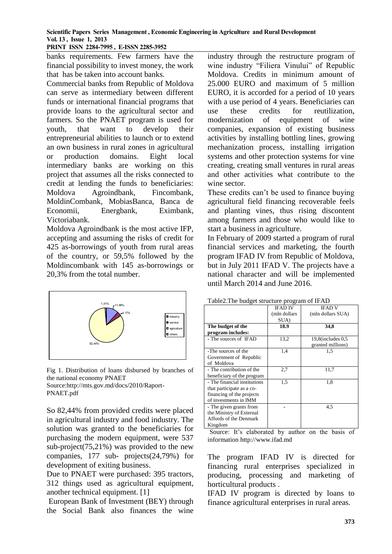#### **Scientific Papers Series Management , Economic Engineering in Agriculture and Rural Development Vol. 13 , Issue 1, 2013**

**PRINT ISSN 2284-7995 , E-ISSN 2285-3952** 

banks requirements. Few farmers have the financial possibility to invest money, the work that has be taken into account banks.

Commercial banks from Republic of Moldova can serve as intermediary between different funds or international financial programs that provide loans to the agricultural sector and farmers. So the PNAET program is used for youth, that want to develop their entrepreneurial abilities to launch or to extend an own business in rural zones in agricultural or production domains. Eight local intermediary banks are working on this project that assumes all the risks connected to credit at lending the funds to beneficiaries: Moldova Agroindbank, Fincombank, MoldinCombank, MobiasBanca, Banca de Economii, Energbank, Eximbank, Victoriabank.

Moldova Agroindbank is the most active IFP, accepting and assuming the risks of credit for 425 as-borrowings of youth from rural areas of the country, or 59,5% followed by the Moldincombank with 145 as-borrowings or 20,3% from the total number.



Fig 1. Distribution of loans disbursed by branches of the national economy PNAET

Source[:http://mts.gov.md/docs/2010/Raport-](http://mts.gov.md/docs/2010/Raport-PNAET.pdf)[PNAET.pdf](http://mts.gov.md/docs/2010/Raport-PNAET.pdf)

So 82,44% from provided credits were placed in agricultural industry and food industry. The solution was granted to the beneficiaries for purchasing the modern equipment, were 537 sub-project(75,21%) was provided to the new companies, 177 sub- projects(24,79%) for development of exiting business.

Due to PNAET were purchased: 395 tractors, 312 things used as agricultural equipment, another technical equipment. [1]

European Bank of Investment (BEY) through the Social Bank also finances the wine

industry through the restructure program of wine industry "Filiera Vinului" of Republic Moldova. Credits in minimum amount of 25.000 EURO and maximum of 5 million EURO, it is accorded for a period of 10 years with a use period of 4 years. Beneficiaries can use these credits for reutilization, modernization of equipment of wine companies, expansion of existing business activities by installing bottling lines, growing mechanization process, installing irrigation systems and other protection systems for vine creating, creating small ventures in rural areas and other activities what contribute to the wine sector.

These credits can't be used to finance buying agricultural field financing recoverable feels and planting vines, thus rising discontent among farmers and those who would like to start a business in agriculture.

In February of 2009 started a program of rural financial services and marketing, the fourth program IFAD IV from Republic of Moldova, but in July 2011 IFAD V. The projects have a national character and will be implemented until March 2014 and June 2016.

|                              | <b>IFAD IV</b> | <b>IFAD V</b>          |
|------------------------------|----------------|------------------------|
|                              | (mln dollars   | (mln dollars SUA)      |
|                              | SUA)           |                        |
| The budget of the            | 18.9           | 34,8                   |
| program includes:            |                |                        |
| - The sources of IFAD        | 13,2           | $19,8$ (includes $0.5$ |
|                              |                | granted millions)      |
| -The sources of the          | 1,4            | 1.5                    |
| Government of Republic       |                |                        |
| of Moldova                   |                |                        |
| - The contribution of the    | 2,7            | 11,7                   |
| beneficiary of the program   |                |                        |
| - The financial institutions | 1,5            | 1,8                    |
| that participate as a co-    |                |                        |
| financing of the projects    |                |                        |
| of investments in IMM        |                |                        |
| - The given grants from      |                | 4.5                    |
| the Ministry of External     |                |                        |
| Affords of the Denmark       |                |                        |
| Kingdom                      |                |                        |

Table2.The budget structure program of IFAD

Source: It's elaborated by author on the basis of information http://www.ifad.md

The program IFAD IV is directed for financing rural enterprises specialized in producing, processing and marketing of horticultural products .

IFAD IV program is directed by loans to finance agricultural enterprises in rural areas.